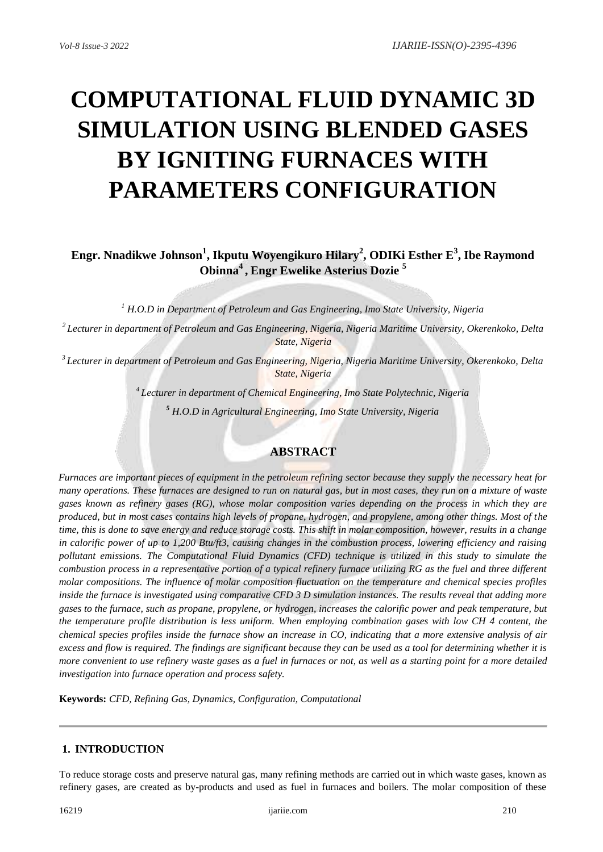# **COMPUTATIONAL FLUID DYNAMIC 3D SIMULATION USING BLENDED GASES BY IGNITING FURNACES WITH PARAMETERS CONFIGURATION**

**Engr. Nnadikwe Johnson<sup>1</sup> , Ikputu Woyengikuro Hilary<sup>2</sup> , ODIKi Esther E<sup>3</sup> , Ibe Raymond Obinna<sup>4</sup> , Engr Ewelike Asterius Dozie <sup>5</sup>**

*<sup>1</sup> H.O.D in Department of Petroleum and Gas Engineering, Imo State University, Nigeria*

*<sup>2</sup>Lecturer in department of Petroleum and Gas Engineering, Nigeria, Nigeria Maritime University, Okerenkoko, Delta State, Nigeria*

*<sup>3</sup>Lecturer in department of Petroleum and Gas Engineering, Nigeria, Nigeria Maritime University, Okerenkoko, Delta State, Nigeria*

> *<sup>4</sup>Lecturer in department of Chemical Engineering, Imo State Polytechnic, Nigeria <sup>5</sup> H.O.D in Agricultural Engineering, Imo State University, Nigeria*

## **ABSTRACT**

*Furnaces are important pieces of equipment in the petroleum refining sector because they supply the necessary heat for many operations. These furnaces are designed to run on natural gas, but in most cases, they run on a mixture of waste gases known as refinery gases (RG), whose molar composition varies depending on the process in which they are produced, but in most cases contains high levels of propane, hydrogen, and propylene, among other things. Most of the time, this is done to save energy and reduce storage costs. This shift in molar composition, however, results in a change in calorific power of up to 1,200 Btu/ft3, causing changes in the combustion process, lowering efficiency and raising pollutant emissions. The Computational Fluid Dynamics (CFD) technique is utilized in this study to simulate the combustion process in a representative portion of a typical refinery furnace utilizing RG as the fuel and three different molar compositions. The influence of molar composition fluctuation on the temperature and chemical species profiles inside the furnace is investigated using comparative CFD 3 D simulation instances. The results reveal that adding more gases to the furnace, such as propane, propylene, or hydrogen, increases the calorific power and peak temperature, but the temperature profile distribution is less uniform. When employing combination gases with low CH 4 content, the chemical species profiles inside the furnace show an increase in CO, indicating that a more extensive analysis of air excess and flow is required. The findings are significant because they can be used as a tool for determining whether it is more convenient to use refinery waste gases as a fuel in furnaces or not, as well as a starting point for a more detailed investigation into furnace operation and process safety.* 

**Keywords:** *CFD, Refining Gas, Dynamics, Configuration, Computational*

# **1. INTRODUCTION**

To reduce storage costs and preserve natural gas, many refining methods are carried out in which waste gases, known as refinery gases, are created as by-products and used as fuel in furnaces and boilers. The molar composition of these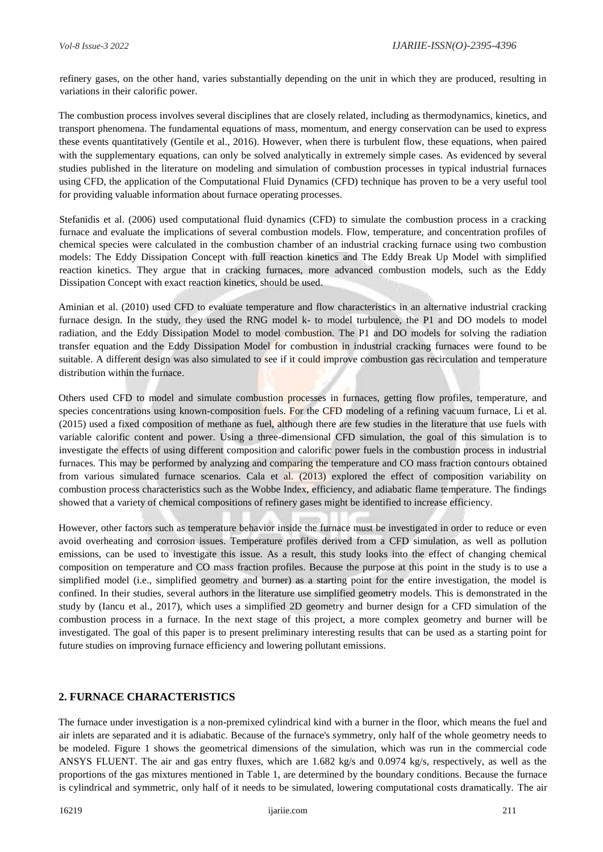refinery gases, on the other hand, varies substantially depending on the unit in which they are produced, resulting in variations in their calorific power.

The combustion process involves several disciplines that are closely related, including as thermodynamics, kinetics, and transport phenomena. The fundamental equations of mass, momentum, and energy conservation can be used to express these events quantitatively (Gentile et al., 2016). However, when there is turbulent flow, these equations, when paired with the supplementary equations, can only be solved analytically in extremely simple cases. As evidenced by several studies published in the literature on modeling and simulation of combustion processes in typical industrial furnaces using CFD, the application of the Computational Fluid Dynamics (CFD) technique has proven to be a very useful tool for providing valuable information about furnace operating processes.

Stefanidis et al. (2006) used computational fluid dynamics (CFD) to simulate the combustion process in a cracking furnace and evaluate the implications of several combustion models. Flow, temperature, and concentration profiles of chemical species were calculated in the combustion chamber of an industrial cracking furnace using two combustion models: The Eddy Dissipation Concept with full reaction kinetics and The Eddy Break Up Model with simplified reaction kinetics. They argue that in cracking furnaces, more advanced combustion models, such as the Eddy Dissipation Concept with exact reaction kinetics, should be used.

Aminian et al. (2010) used CFD to evaluate temperature and flow characteristics in an alternative industrial cracking furnace design. In the study, they used the RNG model k- to model turbulence, the P1 and DO models to model radiation, and the Eddy Dissipation Model to model combustion. The P1 and DO models for solving the radiation transfer equation and the Eddy Dissipation Model for combustion in industrial cracking furnaces were found to be suitable. A different design was also simulated to see if it could improve combustion gas recirculation and temperature distribution within the furnace.

Others used CFD to model and simulate combustion processes in furnaces, getting flow profiles, temperature, and species concentrations using known-composition fuels. For the CFD modeling of a refining vacuum furnace, Li et al. (2015) used a fixed composition of methane as fuel, although there are few studies in the literature that use fuels with variable calorific content and power. Using a three-dimensional CFD simulation, the goal of this simulation is to investigate the effects of using different composition and calorific power fuels in the combustion process in industrial furnaces. This may be performed by analyzing and comparing the temperature and CO mass fraction contours obtained from various simulated furnace scenarios. Cala et al. (2013) explored the effect of composition variability on combustion process characteristics such as the Wobbe Index, efficiency, and adiabatic flame temperature. The findings showed that a variety of chemical compositions of refinery gases might be identified to increase efficiency.

However, other factors such as temperature behavior inside the furnace must be investigated in order to reduce or even avoid overheating and corrosion issues. Temperature profiles derived from a CFD simulation, as well as pollution emissions, can be used to investigate this issue. As a result, this study looks into the effect of changing chemical composition on temperature and CO mass fraction profiles. Because the purpose at this point in the study is to use a simplified model (i.e., simplified geometry and burner) as a starting point for the entire investigation, the model is confined. In their studies, several authors in the literature use simplified geometry models. This is demonstrated in the study by (Iancu et al., 2017), which uses a simplified 2D geometry and burner design for a CFD simulation of the combustion process in a furnace. In the next stage of this project, a more complex geometry and burner will be investigated. The goal of this paper is to present preliminary interesting results that can be used as a starting point for future studies on improving furnace efficiency and lowering pollutant emissions.

## **2. FURNACE CHARACTERISTICS**

The furnace under investigation is a non-premixed cylindrical kind with a burner in the floor, which means the fuel and air inlets are separated and it is adiabatic. Because of the furnace's symmetry, only half of the whole geometry needs to be modeled. Figure 1 shows the geometrical dimensions of the simulation, which was run in the commercial code ANSYS FLUENT. The air and gas entry fluxes, which are 1.682 kg/s and 0.0974 kg/s, respectively, as well as the proportions of the gas mixtures mentioned in Table 1, are determined by the boundary conditions. Because the furnace is cylindrical and symmetric, only half of it needs to be simulated, lowering computational costs dramatically. The air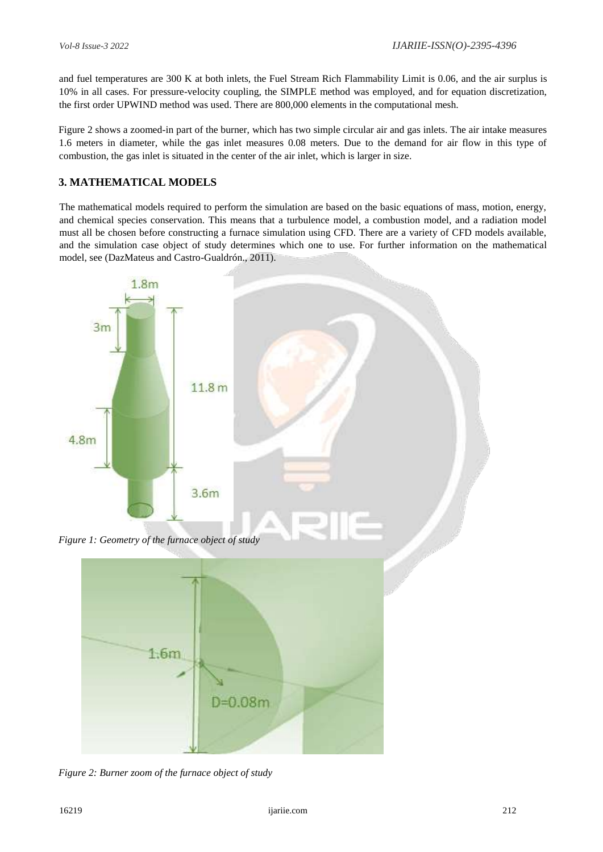and fuel temperatures are 300 K at both inlets, the Fuel Stream Rich Flammability Limit is 0.06, and the air surplus is 10% in all cases. For pressure-velocity coupling, the SIMPLE method was employed, and for equation discretization, the first order UPWIND method was used. There are 800,000 elements in the computational mesh.

Figure 2 shows a zoomed-in part of the burner, which has two simple circular air and gas inlets. The air intake measures 1.6 meters in diameter, while the gas inlet measures 0.08 meters. Due to the demand for air flow in this type of combustion, the gas inlet is situated in the center of the air inlet, which is larger in size.

# **3. MATHEMATICAL MODELS**

The mathematical models required to perform the simulation are based on the basic equations of mass, motion, energy, and chemical species conservation. This means that a turbulence model, a combustion model, and a radiation model must all be chosen before constructing a furnace simulation using CFD. There are a variety of CFD models available, and the simulation case object of study determines which one to use. For further information on the mathematical model, see (DazMateus and Castro-Gualdrón., 2011).



*Figure 2: Burner zoom of the furnace object of study* 

 $1.6m$ 

 $D = 0.08m$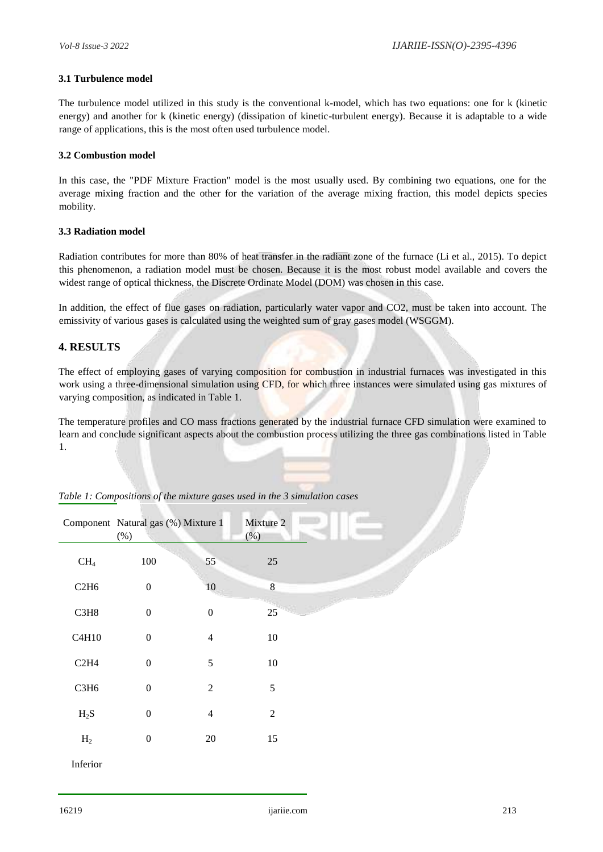#### **3.1 Turbulence model**

The turbulence model utilized in this study is the conventional k-model, which has two equations: one for k (kinetic energy) and another for k (kinetic energy) (dissipation of kinetic-turbulent energy). Because it is adaptable to a wide range of applications, this is the most often used turbulence model.

#### **3.2 Combustion model**

In this case, the "PDF Mixture Fraction" model is the most usually used. By combining two equations, one for the average mixing fraction and the other for the variation of the average mixing fraction, this model depicts species mobility.

#### **3.3 Radiation model**

Radiation contributes for more than 80% of heat transfer in the radiant zone of the furnace (Li et al., 2015). To depict this phenomenon, a radiation model must be chosen. Because it is the most robust model available and covers the widest range of optical thickness, the Discrete Ordinate Model (DOM) was chosen in this case.

In addition, the effect of flue gases on radiation, particularly water vapor and CO2, must be taken into account. The emissivity of various gases is calculated using the weighted sum of gray gases model (WSGGM).

## **4. RESULTS**

The effect of employing gases of varying composition for combustion in industrial furnaces was investigated in this work using a three-dimensional simulation using CFD, for which three instances were simulated using gas mixtures of varying composition, as indicated in Table 1.

The temperature profiles and CO mass fractions generated by the industrial furnace CFD simulation were examined to learn and conclude significant aspects about the combustion process utilizing the three gas combinations listed in Table 1.

|                 | Component Natural gas (%) Mixture 1<br>$(\% )$ |                  | Mixture 2<br>(%) |  |
|-----------------|------------------------------------------------|------------------|------------------|--|
| CH <sub>4</sub> | $100\,$                                        | 55               | 25               |  |
| C2H6            | $\boldsymbol{0}$                               | 10               | $\bf 8$          |  |
| C3H8            | $\boldsymbol{0}$                               | $\boldsymbol{0}$ | 25               |  |
| C4H10           | $\boldsymbol{0}$                               | $\overline{4}$   | $10\,$           |  |
| C2H4            | $\boldsymbol{0}$                               | 5                | $10\,$           |  |
| C3H6            | $\boldsymbol{0}$                               | $\overline{2}$   | 5                |  |
| $H_2S$          | $\boldsymbol{0}$                               | $\overline{4}$   | $\overline{2}$   |  |
| H <sub>2</sub>  | $\boldsymbol{0}$                               | $20\,$           | 15               |  |
| Inferior        |                                                |                  |                  |  |

|  | Table 1: Compositions of the mixture gases used in the 3 simulation cases |
|--|---------------------------------------------------------------------------|
|--|---------------------------------------------------------------------------|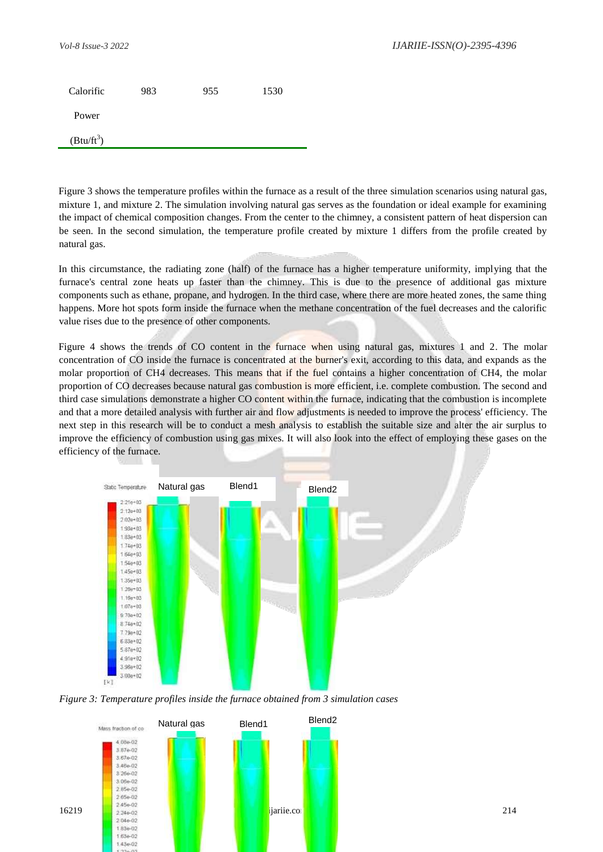| Calorific    | 983 | 955 | 1530 |
|--------------|-----|-----|------|
| Power        |     |     |      |
| $(Btu/ft^3)$ |     |     |      |

Figure 3 shows the temperature profiles within the furnace as a result of the three simulation scenarios using natural gas, mixture 1, and mixture 2. The simulation involving natural gas serves as the foundation or ideal example for examining the impact of chemical composition changes. From the center to the chimney, a consistent pattern of heat dispersion can be seen. In the second simulation, the temperature profile created by mixture 1 differs from the profile created by natural gas.

In this circumstance, the radiating zone (half) of the furnace has a higher temperature uniformity, implying that the furnace's central zone heats up faster than the chimney. This is due to the presence of additional gas mixture components such as ethane, propane, and hydrogen. In the third case, where there are more heated zones, the same thing happens. More hot spots form inside the furnace when the methane concentration of the fuel decreases and the calorific value rises due to the presence of other components.

Figure 4 shows the trends of CO content in the furnace when using natural gas, mixtures 1 and 2. The molar concentration of CO inside the furnace is concentrated at the burner's exit, according to this data, and expands as the molar proportion of CH4 decreases. This means that if the fuel contains a higher concentration of CH4, the molar proportion of CO decreases because natural gas combustion is more efficient, i.e. complete combustion. The second and third case simulations demonstrate a higher CO content within the furnace, indicating that the combustion is incomplete and that a more detailed analysis with further air and flow adjustments is needed to improve the process' efficiency. The next step in this research will be to conduct a mesh analysis to establish the suitable size and alter the air surplus to improve the efficiency of combustion using gas mixes. It will also look into the effect of employing these gases on the efficiency of the furnace.





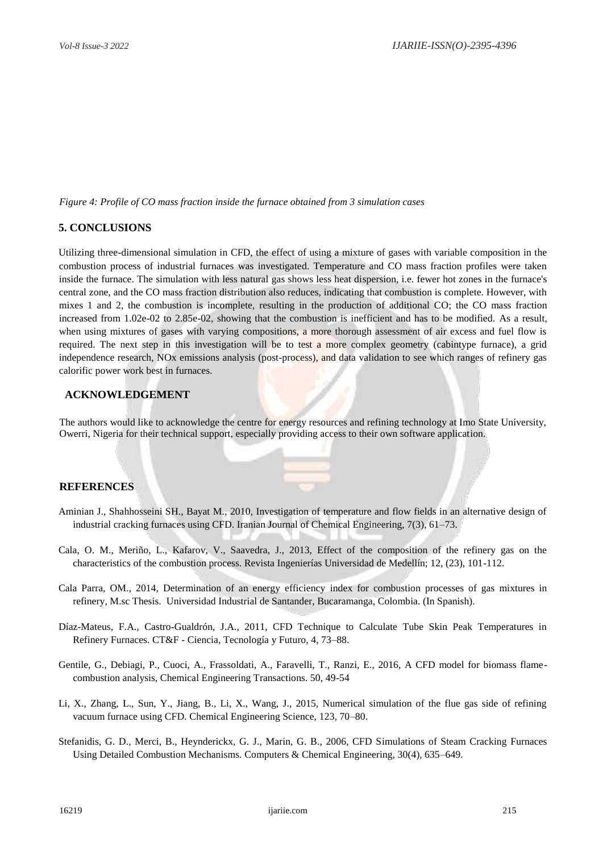*Figure 4: Profile of CO mass fraction inside the furnace obtained from 3 simulation cases* 

## **5. CONCLUSIONS**

Utilizing three-dimensional simulation in CFD, the effect of using a mixture of gases with variable composition in the combustion process of industrial furnaces was investigated. Temperature and CO mass fraction profiles were taken inside the furnace. The simulation with less natural gas shows less heat dispersion, i.e. fewer hot zones in the furnace's central zone, and the CO mass fraction distribution also reduces, indicating that combustion is complete. However, with mixes 1 and 2, the combustion is incomplete, resulting in the production of additional CO; the CO mass fraction increased from 1.02e-02 to 2.85e-02, showing that the combustion is inefficient and has to be modified. As a result, when using mixtures of gases with varying compositions, a more thorough assessment of air excess and fuel flow is required. The next step in this investigation will be to test a more complex geometry (cabintype furnace), a grid independence research, NOx emissions analysis (post-process), and data validation to see which ranges of refinery gas calorific power work best in furnaces.

#### **ACKNOWLEDGEMENT**

The authors would like to acknowledge the centre for energy resources and refining technology at Imo State University, Owerri, Nigeria for their technical support, especially providing access to their own software application.

## **REFERENCES**

- Aminian J., Shahhosseini SH., Bayat M., 2010, Investigation of temperature and flow fields in an alternative design of industrial cracking furnaces using CFD. Iranian Journal of Chemical Engineering, 7(3), 61–73.
- Cala, O. M., Meriño, L., Kafarov, V., Saavedra, J., 2013, Effect of the composition of the refinery gas on the characteristics of the combustion process. Revista Ingenierías Universidad de Medellín; 12, (23), 101-112.
- Cala Parra, OM., 2014, Determination of an energy efficiency index for combustion processes of gas mixtures in refinery, M.sc Thesis. Universidad Industrial de Santander, Bucaramanga, Colombia. (In Spanish).
- Díaz-Mateus, F.A., Castro-Gualdrón, J.A., 2011, CFD Technique to Calculate Tube Skin Peak Temperatures in Refinery Furnaces. CT&F - Ciencia, Tecnología y Futuro, 4, 73–88.
- Gentile, G., Debiagi, P., Cuoci, A., Frassoldati, A., Faravelli, T., Ranzi, E., 2016, A CFD model for biomass flamecombustion analysis, Chemical Engineering Transactions. 50, 49-54
- Li, X., Zhang, L., Sun, Y., Jiang, B., Li, X., Wang, J., 2015, Numerical simulation of the flue gas side of refining vacuum furnace using CFD. Chemical Engineering Science, 123, 70–80.
- Stefanidis, G. D., Merci, B., Heynderickx, G. J., Marin, G. B., 2006, CFD Simulations of Steam Cracking Furnaces Using Detailed Combustion Mechanisms. Computers & Chemical Engineering, 30(4), 635–649.